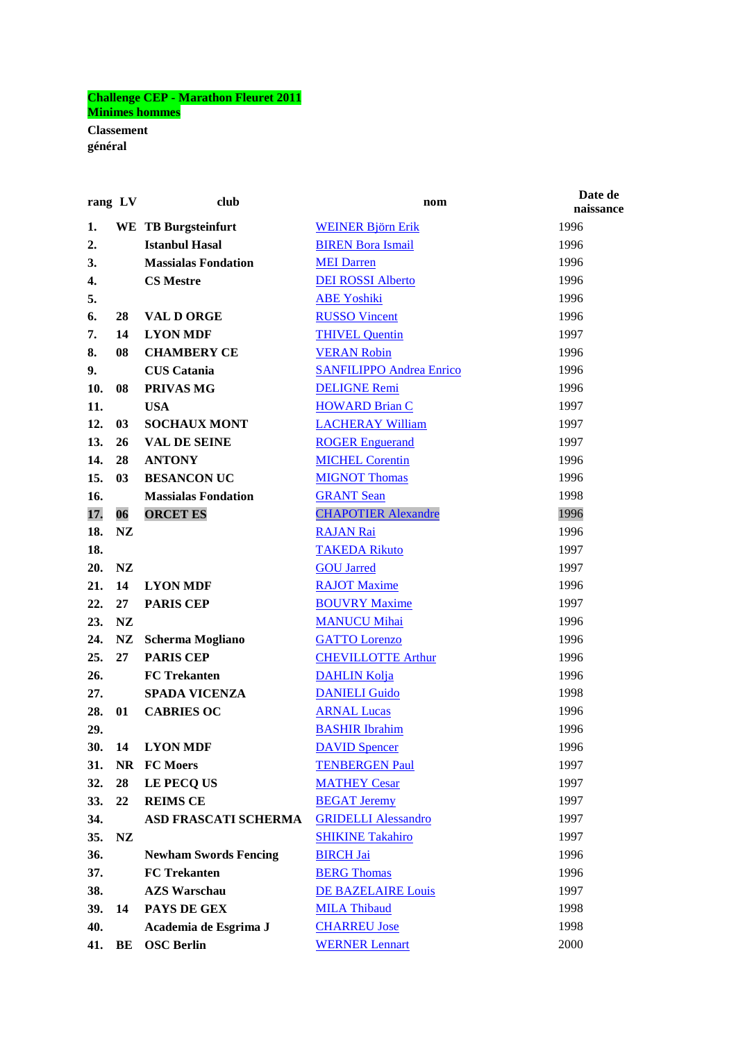## **Challenge CEP - Marathon Fleuret 2011 Minimes hommes**

**Classement général**

| rang LV |                | club                         | nom                             | Date de<br>naissance |
|---------|----------------|------------------------------|---------------------------------|----------------------|
| 1.      |                | <b>WE TB Burgsteinfurt</b>   | <b>WEINER Björn Erik</b>        | 1996                 |
| 2.      |                | <b>Istanbul Hasal</b>        | <b>BIREN Bora Ismail</b>        | 1996                 |
| 3.      |                | <b>Massialas Fondation</b>   | <b>MEI Darren</b>               | 1996                 |
| 4.      |                | <b>CS Mestre</b>             | <b>DEI ROSSI Alberto</b>        | 1996                 |
| 5.      |                |                              | <b>ABE Yoshiki</b>              | 1996                 |
| 6.      | 28             | <b>VAL D ORGE</b>            | <b>RUSSO Vincent</b>            | 1996                 |
| 7.      | 14             | <b>LYON MDF</b>              | <b>THIVEL Quentin</b>           | 1997                 |
| 8.      | 08             | <b>CHAMBERY CE</b>           | <b>VERAN Robin</b>              | 1996                 |
| 9.      |                | <b>CUS</b> Catania           | <b>SANFILIPPO Andrea Enrico</b> | 1996                 |
| 10.     | 08             | PRIVAS MG                    | <b>DELIGNE Remi</b>             | 1996                 |
| 11.     |                | <b>USA</b>                   | <b>HOWARD Brian C</b>           | 1997                 |
| 12.     | 0 <sub>3</sub> | <b>SOCHAUX MONT</b>          | <b>LACHERAY William</b>         | 1997                 |
| 13.     | 26             | <b>VAL DE SEINE</b>          | <b>ROGER Enguerand</b>          | 1997                 |
| 14.     | 28             | <b>ANTONY</b>                | <b>MICHEL Corentin</b>          | 1996                 |
| 15.     | 0 <sub>3</sub> | <b>BESANCON UC</b>           | <b>MIGNOT Thomas</b>            | 1996                 |
| 16.     |                | <b>Massialas Fondation</b>   | <b>GRANT Sean</b>               | 1998                 |
| 17.     | 06             | <b>ORCET ES</b>              | <b>CHAPOTIER Alexandre</b>      | 1996                 |
| 18.     | <b>NZ</b>      |                              | <b>RAJAN Rai</b>                | 1996                 |
| 18.     |                |                              | <b>TAKEDA Rikuto</b>            | 1997                 |
| 20.     | <b>NZ</b>      |                              | <b>GOU Jarred</b>               | 1997                 |
| 21.     | 14             | <b>LYON MDF</b>              | <b>RAJOT Maxime</b>             | 1996                 |
| 22.     | 27             | <b>PARIS CEP</b>             | <b>BOUVRY Maxime</b>            | 1997                 |
| 23.     | <b>NZ</b>      |                              | <b>MANUCU Mihai</b>             | 1996                 |
| 24.     | NZ             | <b>Scherma Mogliano</b>      | <b>GATTO Lorenzo</b>            | 1996                 |
| 25.     | 27             | <b>PARIS CEP</b>             | <b>CHEVILLOTTE Arthur</b>       | 1996                 |
| 26.     |                | <b>FC</b> Trekanten          | <b>DAHLIN Kolja</b>             | 1996                 |
| 27.     |                | <b>SPADA VICENZA</b>         | <b>DANIELI Guido</b>            | 1998                 |
| 28.     | 01             | <b>CABRIES OC</b>            | <b>ARNAL Lucas</b>              | 1996                 |
| 29.     |                |                              | <b>BASHIR Ibrahim</b>           | 1996                 |
| 30.     | 14             | <b>LYON MDF</b>              | <b>DAVID Spencer</b>            | 1996                 |
| 31.     | <b>NR</b>      | <b>FC Moers</b>              | <b>TENBERGEN Paul</b>           | 1997                 |
| 32.     | 28             | LE PECQ US                   | <b>MATHEY Cesar</b>             | 1997                 |
| 33.     | 22             | <b>REIMS CE</b>              | <b>BEGAT Jeremy</b>             | 1997                 |
| 34.     |                | ASD FRASCATI SCHERMA         | <b>GRIDELLI Alessandro</b>      | 1997                 |
| 35.     | NZ             |                              | <b>SHIKINE Takahiro</b>         | 1997                 |
| 36.     |                | <b>Newham Swords Fencing</b> | <b>BIRCH Jai</b>                | 1996                 |
| 37.     |                | <b>FC</b> Trekanten          | <b>BERG Thomas</b>              | 1996                 |
| 38.     |                | <b>AZS Warschau</b>          | DE BAZELAIRE Louis              | 1997                 |
| 39.     | 14             | PAYS DE GEX                  | <b>MILA Thibaud</b>             | 1998                 |
| 40.     |                | Academia de Esgrima J        | <b>CHARREU Jose</b>             | 1998                 |
| 41.     | BE             | <b>OSC Berlin</b>            | <b>WERNER Lennart</b>           | 2000                 |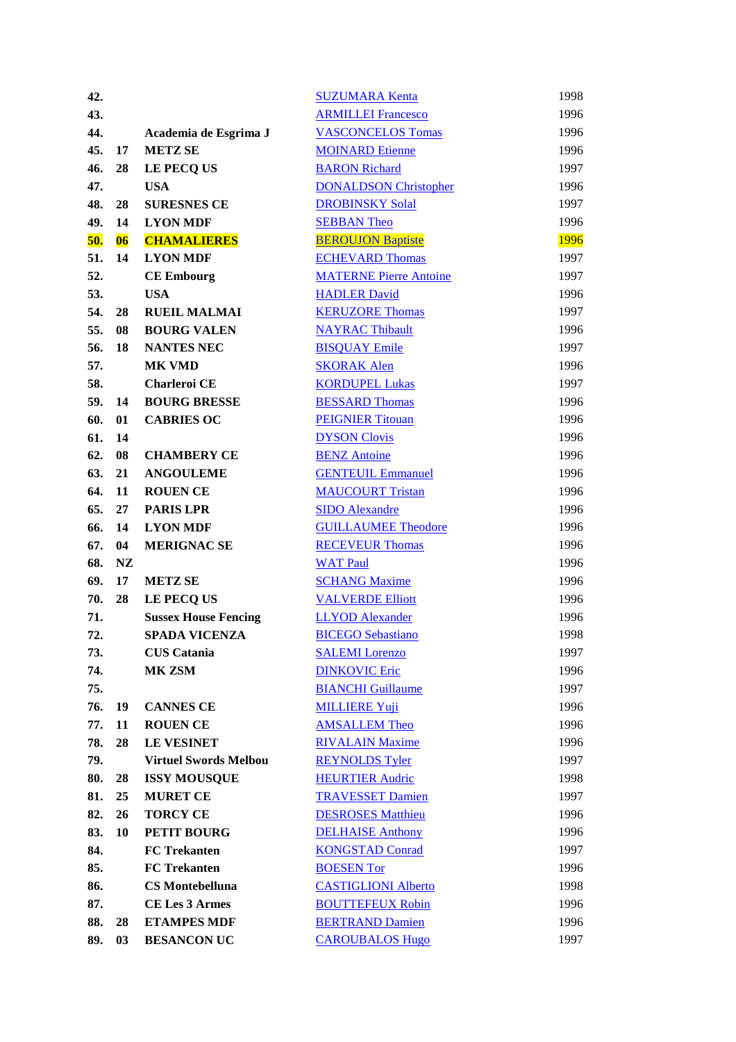| 42. |           |                              | <b>SUZUMARA Kenta</b>         | 1998        |
|-----|-----------|------------------------------|-------------------------------|-------------|
| 43. |           |                              | <b>ARMILLEI Francesco</b>     | 1996        |
| 44. |           | Academia de Esgrima J        | <b>VASCONCELOS Tomas</b>      | 1996        |
| 45. | 17        | <b>METZ SE</b>               | <b>MOINARD Etienne</b>        | 1996        |
| 46. | 28        | LE PECQ US                   | <b>BARON Richard</b>          | 1997        |
| 47. |           | <b>USA</b>                   | <b>DONALDSON Christopher</b>  | 1996        |
| 48. | 28        | <b>SURESNES CE</b>           | <b>DROBINSKY Solal</b>        | 1997        |
| 49. | 14        | <b>LYON MDF</b>              | <b>SEBBAN Theo</b>            | 1996        |
| 50. | 06        | <b>CHAMALIERES</b>           | <b>BEROUJON Baptiste</b>      | <b>1996</b> |
| 51. | 14        | <b>LYON MDF</b>              | <b>ECHEVARD Thomas</b>        | 1997        |
| 52. |           | <b>CE Embourg</b>            | <b>MATERNE Pierre Antoine</b> | 1997        |
| 53. |           | <b>USA</b>                   | <b>HADLER David</b>           | 1996        |
| 54. | 28        | <b>RUEIL MALMAI</b>          | <b>KERUZORE Thomas</b>        | 1997        |
| 55. | 08        | <b>BOURG VALEN</b>           | <b>NAYRAC Thibault</b>        | 1996        |
| 56. | 18        | <b>NANTES NEC</b>            | <b>BISQUAY Emile</b>          | 1997        |
| 57. |           | <b>MK VMD</b>                | <b>SKORAK Alen</b>            | 1996        |
| 58. |           | Charleroi CE                 | <b>KORDUPEL Lukas</b>         | 1997        |
| 59. | 14        | <b>BOURG BRESSE</b>          | <b>BESSARD Thomas</b>         | 1996        |
| 60. | 01        | <b>CABRIES OC</b>            | <b>PEIGNIER Titouan</b>       | 1996        |
| 61. | 14        |                              | <b>DYSON Clovis</b>           | 1996        |
| 62. | 08        | <b>CHAMBERY CE</b>           | <b>BENZ</b> Antoine           | 1996        |
| 63. | 21        | <b>ANGOULEME</b>             | <b>GENTEUIL Emmanuel</b>      | 1996        |
| 64. | 11        | <b>ROUEN CE</b>              | <b>MAUCOURT Tristan</b>       | 1996        |
| 65. | 27        | <b>PARIS LPR</b>             | <b>SIDO</b> Alexandre         | 1996        |
| 66. | 14        | <b>LYON MDF</b>              | <b>GUILLAUMEE Theodore</b>    | 1996        |
| 67. | 04        | <b>MERIGNAC SE</b>           | <b>RECEVEUR Thomas</b>        | 1996        |
| 68. | <b>NZ</b> |                              | <b>WAT Paul</b>               | 1996        |
| 69. | 17        | <b>METZ SE</b>               | <b>SCHANG Maxime</b>          | 1996        |
| 70. | 28        | LE PECQ US                   | <b>VALVERDE Elliott</b>       | 1996        |
| 71. |           | <b>Sussex House Fencing</b>  | <b>LLYOD</b> Alexander        | 1996        |
| 72. |           | SPADA VICENZA                | <b>BICEGO Sebastiano</b>      | 1998        |
| 73. |           | <b>CUS</b> Catania           | <b>SALEMI</b> Lorenzo         | 1997        |
| 74. |           | MK ZSM                       | <b>DINKOVIC Eric</b>          | 1996        |
| 75. |           |                              | <b>BIANCHI Guillaume</b>      | 1997        |
| 76. | 19        | <b>CANNES CE</b>             | <b>MILLIERE Yuji</b>          | 1996        |
| 77. | 11        | <b>ROUEN CE</b>              | <b>AMSALLEM Theo</b>          | 1996        |
| 78. | 28        | <b>LE VESINET</b>            | <b>RIVALAIN Maxime</b>        | 1996        |
| 79. |           | <b>Virtuel Swords Melbou</b> | <b>REYNOLDS Tyler</b>         | 1997        |
| 80. | 28        | <b>ISSY MOUSQUE</b>          | <b>HEURTIER Audric</b>        | 1998        |
| 81. | 25        | <b>MURET CE</b>              | <b>TRAVESSET Damien</b>       | 1997        |
| 82. | 26        | <b>TORCY CE</b>              | <b>DESROSES Matthieu</b>      | 1996        |
| 83. | 10        | PETIT BOURG                  | <b>DELHAISE Anthony</b>       | 1996        |
| 84. |           | <b>FC</b> Trekanten          | <b>KONGSTAD Conrad</b>        | 1997        |
| 85. |           | <b>FC</b> Trekanten          | <b>BOESEN Tor</b>             | 1996        |
| 86. |           | <b>CS</b> Montebelluna       | <b>CASTIGLIONI Alberto</b>    | 1998        |
| 87. |           | <b>CE Les 3 Armes</b>        | <b>BOUTTEFEUX Robin</b>       | 1996        |
| 88. | 28        | <b>ETAMPES MDF</b>           | <b>BERTRAND Damien</b>        | 1996        |
| 89. | 03        | <b>BESANCON UC</b>           | <b>CAROUBALOS Hugo</b>        | 1997        |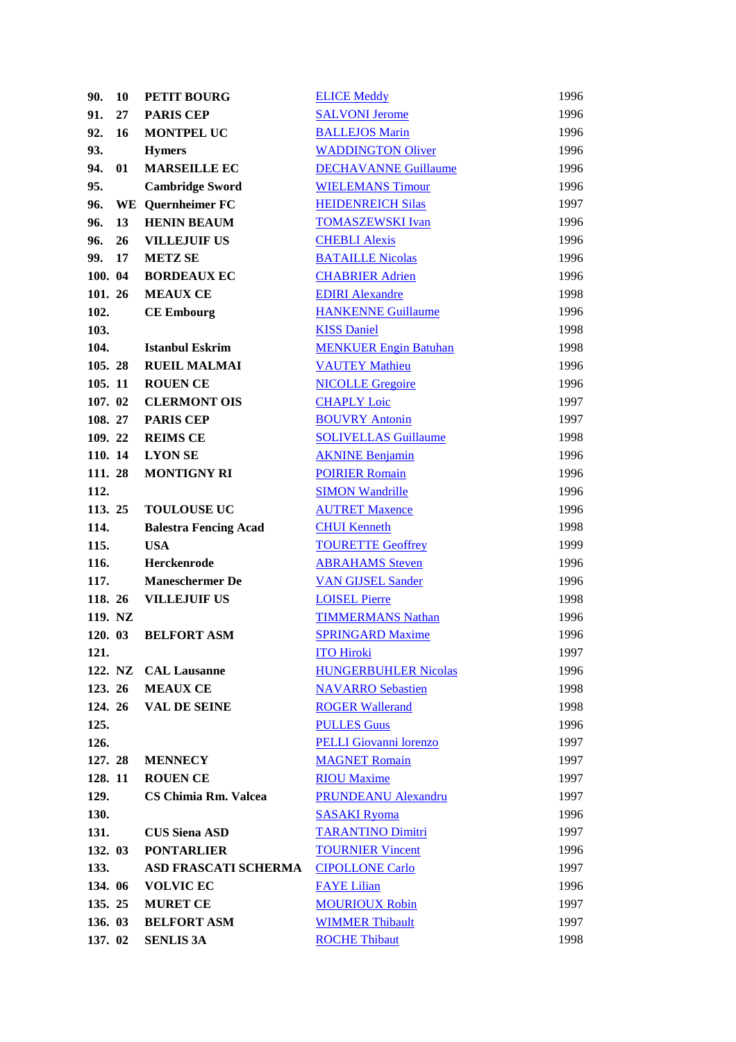| 90.             | 10 | <b>PETIT BOURG</b>                        | <b>ELICE Meddy</b>            | 1996         |
|-----------------|----|-------------------------------------------|-------------------------------|--------------|
| 91.             | 27 | <b>PARIS CEP</b>                          | <b>SALVONI Jerome</b>         | 1996         |
| 92.             | 16 | <b>MONTPEL UC</b>                         | <b>BALLEJOS Marin</b>         | 1996         |
| 93.             |    | <b>Hymers</b>                             | <b>WADDINGTON Oliver</b>      | 1996         |
| 94.             | 01 | <b>MARSEILLE EC</b>                       | <b>DECHAVANNE Guillaume</b>   | 1996         |
| 95.             |    | <b>Cambridge Sword</b>                    | <b>WIELEMANS Timour</b>       | 1996         |
| 96.             |    | <b>WE</b> Quernheimer FC                  | <b>HEIDENREICH Silas</b>      | 1997         |
| 96.             | 13 | <b>HENIN BEAUM</b>                        | <b>TOMASZEWSKI Ivan</b>       | 1996         |
| 96.             | 26 | <b>VILLEJUIF US</b>                       | <b>CHEBLI Alexis</b>          | 1996         |
| 99.             | 17 | <b>METZ SE</b>                            | <b>BATAILLE Nicolas</b>       | 1996         |
| 100. 04         |    | <b>BORDEAUX EC</b>                        | <b>CHABRIER Adrien</b>        | 1996         |
| 101. 26         |    | <b>MEAUX CE</b>                           | <b>EDIRI</b> Alexandre        | 1998         |
| 102.            |    | <b>CE Embourg</b>                         | <b>HANKENNE Guillaume</b>     | 1996         |
| 103.            |    |                                           | <b>KISS Daniel</b>            | 1998         |
| 104.            |    | <b>Istanbul Eskrim</b>                    | <b>MENKUER Engin Batuhan</b>  | 1998         |
| 105.28          |    | <b>RUEIL MALMAI</b>                       | <b>VAUTEY Mathieu</b>         | 1996         |
| 105.11          |    | <b>ROUEN CE</b>                           | <b>NICOLLE Gregoire</b>       | 1996         |
| 107.02          |    | <b>CLERMONT OIS</b>                       | <b>CHAPLY Loic</b>            | 1997         |
| 108.27          |    | <b>PARIS CEP</b>                          | <b>BOUVRY Antonin</b>         | 1997         |
| 109.22          |    | <b>REIMS CE</b>                           | <b>SOLIVELLAS Guillaume</b>   | 1998         |
| 110. 14         |    | <b>LYON SE</b>                            | <b>AKNINE Benjamin</b>        | 1996         |
| 111.28          |    | <b>MONTIGNY RI</b>                        | <b>POIRIER Romain</b>         | 1996         |
| 112.            |    |                                           | <b>SIMON Wandrille</b>        | 1996         |
| 113.25          |    | <b>TOULOUSE UC</b>                        | <b>AUTRET Maxence</b>         | 1996         |
| 114.            |    | <b>Balestra Fencing Acad</b>              | <b>CHUI</b> Kenneth           | 1998         |
| 115.            |    | <b>USA</b>                                | <b>TOURETTE Geoffrey</b>      | 1999         |
| 116.            |    | Herckenrode                               | <b>ABRAHAMS</b> Steven        | 1996         |
| 117.            |    | <b>Maneschermer De</b>                    | <b>VAN GIJSEL Sander</b>      | 1996         |
| 118. 26         |    | <b>VILLEJUIF US</b>                       | <b>LOISEL Pierre</b>          | 1998         |
| 119. NZ         |    |                                           | <b>TIMMERMANS Nathan</b>      | 1996         |
| 120. 03         |    | <b>BELFORT ASM</b>                        | <b>SPRINGARD Maxime</b>       | 1996         |
| 121.            |    |                                           | <b>ITO Hiroki</b>             | 1997         |
|                 |    | 122. NZ CAL Lausanne                      | <b>HUNGERBUHLER Nicolas</b>   | 1996         |
| 123. 26         |    | <b>MEAUX CE</b>                           | <b>NAVARRO</b> Sebastien      | 1998         |
| 124. 26         |    | <b>VAL DE SEINE</b>                       | <b>ROGER Wallerand</b>        | 1998         |
| 125.            |    |                                           | <b>PULLES Guus</b>            | 1996         |
| 126.            |    |                                           | <b>PELLI Giovanni lorenzo</b> | 1997         |
| 127. 28         |    | <b>MENNECY</b>                            | <b>MAGNET Romain</b>          | 1997         |
| 128.11          |    | <b>ROUEN CE</b>                           | <b>RIOU Maxime</b>            | 1997         |
| 129.            |    | <b>CS Chimia Rm. Valcea</b>               | <b>PRUNDEANU Alexandru</b>    | 1997         |
| 130.            |    |                                           | <b>SASAKI Ryoma</b>           | 1996         |
| 131.            |    |                                           |                               |              |
|                 |    | <b>CUS Siena ASD</b><br><b>PONTARLIER</b> | <b>TARANTINO Dimitri</b>      | 1997         |
| 132. 03<br>133. |    | ASD FRASCATI SCHERMA                      | <b>TOURNIER Vincent</b>       | 1996<br>1997 |
| 134. 06         |    |                                           | <b>CIPOLLONE Carlo</b>        |              |
|                 |    | <b>VOLVIC EC</b>                          | <b>FAYE Lilian</b>            | 1996<br>1997 |
| 135. 25         |    | <b>MURET CE</b>                           | <b>MOURIOUX Robin</b>         |              |
| 136. 03         |    | <b>BELFORT ASM</b>                        | <b>WIMMER Thibault</b>        | 1997         |
| 137. 02         |    | <b>SENLIS 3A</b>                          | <b>ROCHE Thibaut</b>          | 1998         |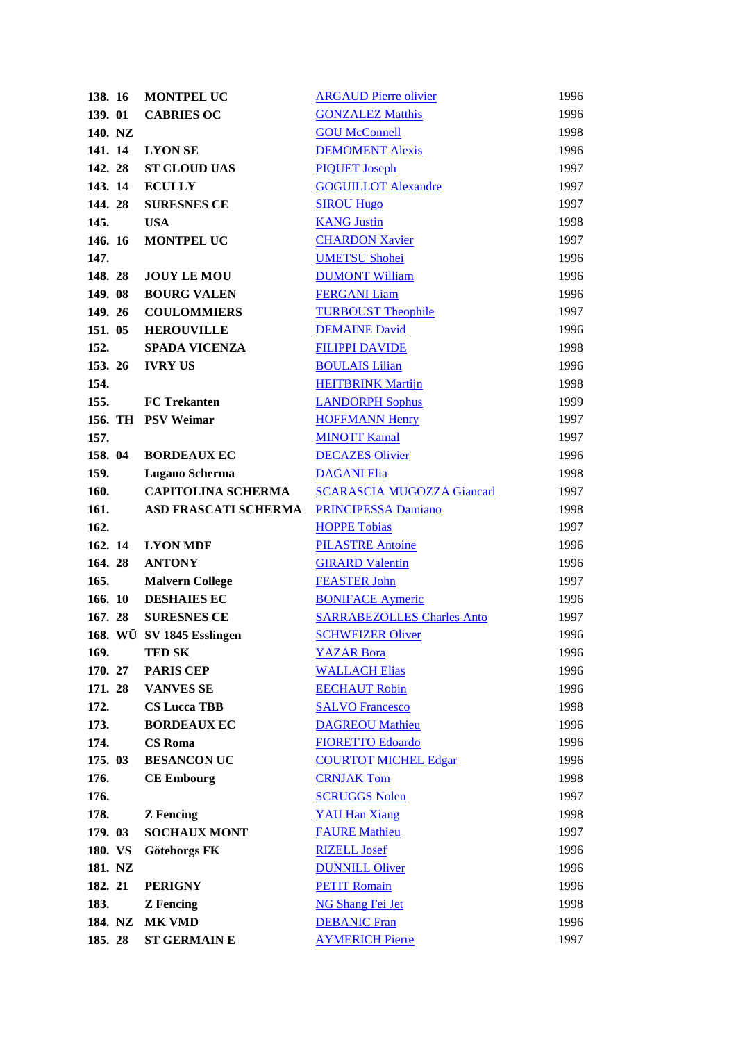| 138. 16 | <b>MONTPEL UC</b>         | <b>ARGAUD Pierre olivier</b>      | 1996 |
|---------|---------------------------|-----------------------------------|------|
| 139. 01 | <b>CABRIES OC</b>         | <b>GONZALEZ Matthis</b>           | 1996 |
| 140. NZ |                           | <b>GOU McConnell</b>              | 1998 |
| 141. 14 | <b>LYON SE</b>            | <b>DEMOMENT Alexis</b>            | 1996 |
| 142.28  | <b>ST CLOUD UAS</b>       | <b>PIQUET Joseph</b>              | 1997 |
| 143. 14 | <b>ECULLY</b>             | <b>GOGUILLOT Alexandre</b>        | 1997 |
| 144.28  | <b>SURESNES CE</b>        | <b>SIROU Hugo</b>                 | 1997 |
| 145.    | <b>USA</b>                | <b>KANG Justin</b>                | 1998 |
| 146. 16 | <b>MONTPEL UC</b>         | <b>CHARDON Xavier</b>             | 1997 |
| 147.    |                           | <b>UMETSU Shohei</b>              | 1996 |
| 148.28  | <b>JOUY LE MOU</b>        | <b>DUMONT William</b>             | 1996 |
| 149. 08 | <b>BOURG VALEN</b>        | <b>FERGANI</b> Liam               | 1996 |
| 149. 26 | <b>COULOMMIERS</b>        | <b>TURBOUST Theophile</b>         | 1997 |
| 151. 05 | <b>HEROUVILLE</b>         | <b>DEMAINE David</b>              | 1996 |
| 152.    | <b>SPADA VICENZA</b>      | <b>FILIPPI DAVIDE</b>             | 1998 |
| 153.26  | <b>IVRY US</b>            | <b>BOULAIS Lilian</b>             | 1996 |
| 154.    |                           | <b>HEITBRINK Martijn</b>          | 1998 |
| 155.    | <b>FC</b> Trekanten       | <b>LANDORPH Sophus</b>            | 1999 |
|         | 156. TH PSV Weimar        | <b>HOFFMANN Henry</b>             | 1997 |
| 157.    |                           | <b>MINOTT Kamal</b>               | 1997 |
| 158. 04 | <b>BORDEAUX EC</b>        | <b>DECAZES Olivier</b>            | 1996 |
| 159.    | Lugano Scherma            | <b>DAGANI Elia</b>                | 1998 |
| 160.    | <b>CAPITOLINA SCHERMA</b> | <b>SCARASCIA MUGOZZA Giancarl</b> | 1997 |
| 161.    | ASD FRASCATI SCHERMA      | <b>PRINCIPESSA Damiano</b>        | 1998 |
| 162.    |                           | <b>HOPPE Tobias</b>               | 1997 |
| 162. 14 | <b>LYON MDF</b>           | <b>PILASTRE Antoine</b>           | 1996 |
| 164.28  | <b>ANTONY</b>             | <b>GIRARD Valentin</b>            | 1996 |
| 165.    | <b>Malvern College</b>    | <b>FEASTER John</b>               | 1997 |
| 166. 10 | <b>DESHAIES EC</b>        | <b>BONIFACE Aymeric</b>           | 1996 |
| 167.28  | <b>SURESNES CE</b>        | <b>SARRABEZOLLES Charles Anto</b> | 1997 |
|         | 168. WÜ SV 1845 Esslingen | <b>SCHWEIZER Oliver</b>           | 1996 |
| 169.    | <b>TED SK</b>             | <b>YAZAR</b> Bora                 | 1996 |
| 170. 27 | <b>PARIS CEP</b>          | <b>WALLACH Elias</b>              | 1996 |
| 171.28  | <b>VANVES SE</b>          | <b>EECHAUT Robin</b>              | 1996 |
| 172.    | <b>CS Lucca TBB</b>       | <b>SALVO Francesco</b>            | 1998 |
| 173.    | <b>BORDEAUX EC</b>        | <b>DAGREOU Mathieu</b>            | 1996 |
| 174.    | <b>CS</b> Roma            | <b>FIORETTO Edoardo</b>           | 1996 |
| 175. 03 | <b>BESANCON UC</b>        | <b>COURTOT MICHEL Edgar</b>       | 1996 |
| 176.    | <b>CE Embourg</b>         | <b>CRNJAK Tom</b>                 | 1998 |
| 176.    |                           | <b>SCRUGGS Nolen</b>              | 1997 |
| 178.    | <b>Z</b> Fencing          | <b>YAU Han Xiang</b>              | 1998 |
| 179. 03 | <b>SOCHAUX MONT</b>       | <b>FAURE Mathieu</b>              | 1997 |
| 180. VS | Göteborgs FK              | <b>RIZELL Josef</b>               | 1996 |
| 181. NZ |                           | <b>DUNNILL Oliver</b>             | 1996 |
| 182. 21 | <b>PERIGNY</b>            | <b>PETIT Romain</b>               | 1996 |
| 183.    | <b>Z</b> Fencing          | <b>NG Shang Fei Jet</b>           | 1998 |
| 184. NZ | <b>MK VMD</b>             | <b>DEBANIC Fran</b>               | 1996 |
| 185. 28 | <b>ST GERMAIN E</b>       | <b>AYMERICH Pierre</b>            | 1997 |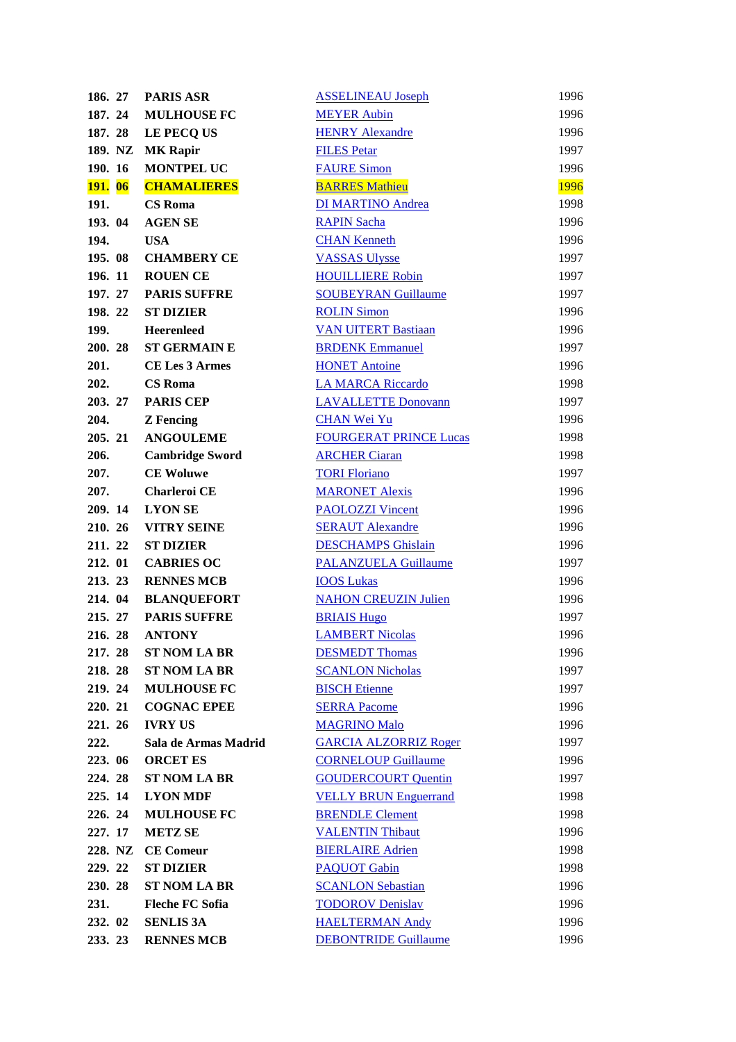| 186. 27        | <b>PARIS ASR</b>       | <b>ASSELINEAU Joseph</b>      | 1996        |
|----------------|------------------------|-------------------------------|-------------|
| 187. 24        | <b>MULHOUSE FC</b>     | <b>MEYER Aubin</b>            | 1996        |
| 187. 28        | LE PECQ US             | <b>HENRY Alexandre</b>        | 1996        |
| 189. NZ        | <b>MK Rapir</b>        | <b>FILES Petar</b>            | 1997        |
| 190. 16        | <b>MONTPEL UC</b>      | <b>FAURE Simon</b>            | 1996        |
| <b>191.</b> 06 | <b>CHAMALIERES</b>     | <b>BARRES Mathieu</b>         | <b>1996</b> |
| 191.           | <b>CS</b> Roma         | <b>DI MARTINO Andrea</b>      | 1998        |
| 193. 04        | <b>AGEN SE</b>         | <b>RAPIN Sacha</b>            | 1996        |
| 194.           | <b>USA</b>             | <b>CHAN Kenneth</b>           | 1996        |
| 195.08         | <b>CHAMBERY CE</b>     | <b>VASSAS Ulysse</b>          | 1997        |
| 196. 11        | <b>ROUEN CE</b>        | <b>HOUILLIERE Robin</b>       | 1997        |
| 197. 27        | <b>PARIS SUFFRE</b>    | <b>SOUBEYRAN Guillaume</b>    | 1997        |
| 198. 22        | <b>ST DIZIER</b>       | <b>ROLIN Simon</b>            | 1996        |
| 199.           | <b>Heerenleed</b>      | <b>VAN UITERT Bastiaan</b>    | 1996        |
| 200. 28        | <b>ST GERMAIN E</b>    | <b>BRDENK Emmanuel</b>        | 1997        |
| 201.           | <b>CE Les 3 Armes</b>  | <b>HONET Antoine</b>          | 1996        |
| 202.           | <b>CS Roma</b>         | <b>LA MARCA Riccardo</b>      | 1998        |
| 203. 27        | <b>PARIS CEP</b>       | <b>LAVALLETTE Donovann</b>    | 1997        |
| 204.           | <b>Z</b> Fencing       | <b>CHAN Wei Yu</b>            | 1996        |
| 205. 21        | <b>ANGOULEME</b>       | <b>FOURGERAT PRINCE Lucas</b> | 1998        |
| 206.           | <b>Cambridge Sword</b> | <b>ARCHER Ciaran</b>          | 1998        |
| 207.           | <b>CE Woluwe</b>       | <b>TORI Floriano</b>          | 1997        |
| 207.           | Charleroi CE           | <b>MARONET Alexis</b>         | 1996        |
| 209. 14        | <b>LYON SE</b>         | <b>PAOLOZZI Vincent</b>       | 1996        |
| 210. 26        | <b>VITRY SEINE</b>     | <b>SERAUT Alexandre</b>       | 1996        |
| 211. 22        | <b>ST DIZIER</b>       | <b>DESCHAMPS</b> Ghislain     | 1996        |
| 212. 01        | <b>CABRIES OC</b>      | <b>PALANZUELA Guillaume</b>   | 1997        |
| 213. 23        | <b>RENNES MCB</b>      | <b>IOOS Lukas</b>             | 1996        |
| 214. 04        | <b>BLANQUEFORT</b>     | <b>NAHON CREUZIN Julien</b>   | 1996        |
| 215. 27        | <b>PARIS SUFFRE</b>    | <b>BRIAIS Hugo</b>            | 1997        |
| 216. 28        | <b>ANTONY</b>          | <b>LAMBERT Nicolas</b>        | 1996        |
| 217.28         | <b>ST NOM LA BR</b>    | <b>DESMEDT Thomas</b>         | 1996        |
| 218.28         | <b>ST NOM LA BR</b>    | <b>SCANLON Nicholas</b>       | 1997        |
| 219.24         | <b>MULHOUSE FC</b>     | <b>BISCH Etienne</b>          | 1997        |
| 220. 21        | <b>COGNAC EPEE</b>     | <b>SERRA Pacome</b>           | 1996        |
| 221. 26        | <b>IVRY US</b>         | <b>MAGRINO Malo</b>           | 1996        |
| 222.           | Sala de Armas Madrid   | <b>GARCIA ALZORRIZ Roger</b>  | 1997        |
| 223. 06        | <b>ORCET ES</b>        | <b>CORNELOUP Guillaume</b>    | 1996        |
| 224. 28        | <b>ST NOM LA BR</b>    | <b>GOUDERCOURT Quentin</b>    | 1997        |
| 225.14         | <b>LYON MDF</b>        | <b>VELLY BRUN Enguerrand</b>  | 1998        |
| 226. 24        | <b>MULHOUSE FC</b>     | <b>BRENDLE Clement</b>        | 1998        |
| 227. 17        | <b>METZ SE</b>         | <b>VALENTIN Thibaut</b>       | 1996        |
| 228. NZ        | <b>CE Comeur</b>       | <b>BIERLAIRE Adrien</b>       | 1998        |
| 229. 22        | <b>ST DIZIER</b>       | <b>PAQUOT</b> Gabin           | 1998        |
| 230. 28        | <b>ST NOM LA BR</b>    | <b>SCANLON Sebastian</b>      | 1996        |
| 231.           | <b>Fleche FC Sofia</b> | <b>TODOROV Denislav</b>       | 1996        |
| 232. 02        | <b>SENLIS 3A</b>       | <b>HAELTERMAN Andy</b>        | 1996        |
| 233. 23        | <b>RENNES MCB</b>      | <b>DEBONTRIDE Guillaume</b>   | 1996        |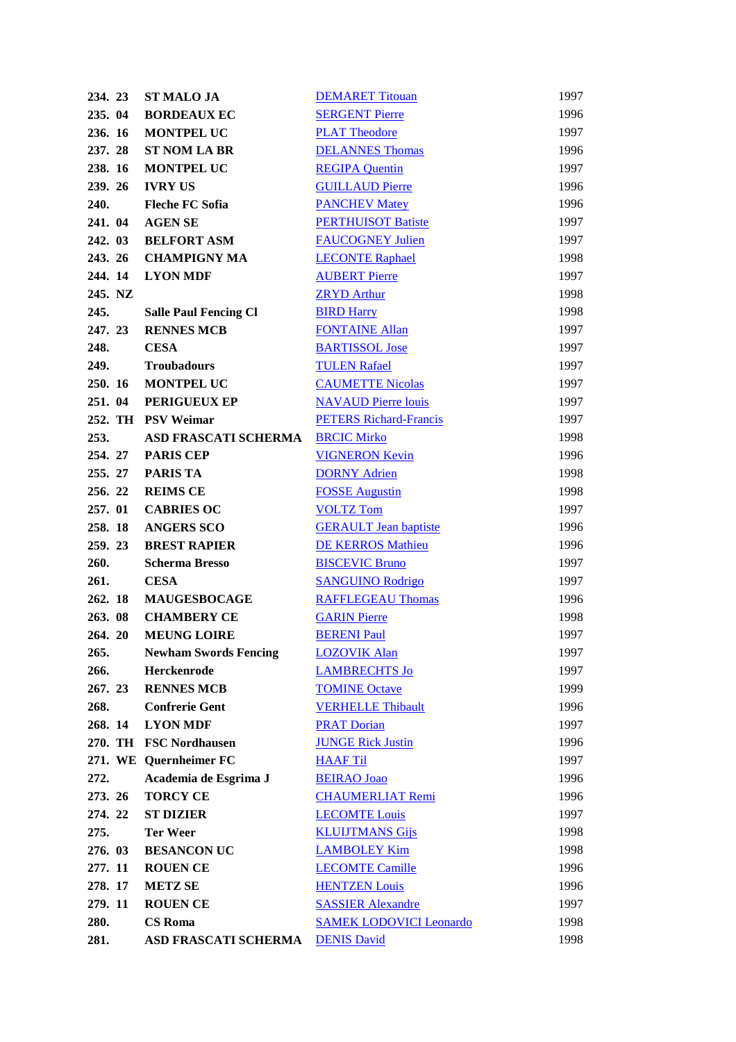| 234. 23 | <b>ST MALO JA</b>            | <b>DEMARET Titouan</b>         | 1997 |
|---------|------------------------------|--------------------------------|------|
| 235. 04 | <b>BORDEAUX EC</b>           | <b>SERGENT Pierre</b>          | 1996 |
| 236. 16 | <b>MONTPEL UC</b>            | <b>PLAT Theodore</b>           | 1997 |
| 237.28  | <b>ST NOM LA BR</b>          | <b>DELANNES Thomas</b>         | 1996 |
| 238. 16 | <b>MONTPEL UC</b>            | <b>REGIPA Quentin</b>          | 1997 |
| 239. 26 | <b>IVRY US</b>               | <b>GUILLAUD Pierre</b>         | 1996 |
| 240.    | <b>Fleche FC Sofia</b>       | <b>PANCHEV Matey</b>           | 1996 |
| 241. 04 | <b>AGEN SE</b>               | <b>PERTHUISOT Batiste</b>      | 1997 |
| 242. 03 | <b>BELFORT ASM</b>           | <b>FAUCOGNEY Julien</b>        | 1997 |
| 243. 26 | <b>CHAMPIGNY MA</b>          | <b>LECONTE Raphael</b>         | 1998 |
| 244.14  | <b>LYON MDF</b>              | <b>AUBERT Pierre</b>           | 1997 |
| 245. NZ |                              | <b>ZRYD Arthur</b>             | 1998 |
| 245.    | <b>Salle Paul Fencing Cl</b> | <b>BIRD Harry</b>              | 1998 |
| 247. 23 | <b>RENNES MCB</b>            | <b>FONTAINE Allan</b>          | 1997 |
| 248.    | <b>CESA</b>                  | <b>BARTISSOL Jose</b>          | 1997 |
| 249.    | <b>Troubadours</b>           | <b>TULEN Rafael</b>            | 1997 |
| 250. 16 | MONTPEL UC                   | <b>CAUMETTE Nicolas</b>        | 1997 |
| 251. 04 | PERIGUEUX EP                 | <b>NAVAUD Pierre louis</b>     | 1997 |
|         | 252. TH PSV Weimar           | <b>PETERS Richard-Francis</b>  | 1997 |
| 253.    | ASD FRASCATI SCHERMA         | <b>BRCIC Mirko</b>             | 1998 |
| 254. 27 | <b>PARIS CEP</b>             | <b>VIGNERON Kevin</b>          | 1996 |
| 255. 27 | <b>PARIS TA</b>              | <b>DORNY Adrien</b>            | 1998 |
| 256. 22 | <b>REIMS CE</b>              | <b>FOSSE Augustin</b>          | 1998 |
| 257.01  | <b>CABRIES OC</b>            | <b>VOLTZ Tom</b>               | 1997 |
| 258.18  | <b>ANGERS SCO</b>            | <b>GERAULT</b> Jean baptiste   | 1996 |
| 259.23  | <b>BREST RAPIER</b>          | <b>DE KERROS Mathieu</b>       | 1996 |
| 260.    | <b>Scherma Bresso</b>        | <b>BISCEVIC Bruno</b>          | 1997 |
| 261.    | <b>CESA</b>                  | <b>SANGUINO Rodrigo</b>        | 1997 |
| 262. 18 | <b>MAUGESBOCAGE</b>          | <b>RAFFLEGEAU Thomas</b>       | 1996 |
| 263.08  | <b>CHAMBERY CE</b>           | <b>GARIN Pierre</b>            | 1998 |
| 264. 20 | <b>MEUNG LOIRE</b>           | <b>BERENI Paul</b>             | 1997 |
| 265.    | <b>Newham Swords Fencing</b> | <b>LOZOVIK Alan</b>            | 1997 |
| 266.    | Herckenrode                  | <b>LAMBRECHTS Jo</b>           | 1997 |
| 267. 23 | <b>RENNES MCB</b>            | <b>TOMINE Octave</b>           | 1999 |
| 268.    | <b>Confrerie Gent</b>        | <b>VERHELLE Thibault</b>       | 1996 |
| 268.14  | <b>LYON MDF</b>              | <b>PRAT Dorian</b>             | 1997 |
|         | 270. TH FSC Nordhausen       | <b>JUNGE Rick Justin</b>       | 1996 |
|         | 271. WE Quernheimer FC       | <b>HAAF Til</b>                | 1997 |
| 272.    | Academia de Esgrima J        | <b>BEIRAO Joao</b>             | 1996 |
| 273. 26 | <b>TORCY CE</b>              | <b>CHAUMERLIAT Remi</b>        | 1996 |
| 274. 22 | <b>ST DIZIER</b>             | <b>LECOMTE Louis</b>           | 1997 |
| 275.    | <b>Ter Weer</b>              | <b>KLUIJTMANS Gijs</b>         | 1998 |
| 276. 03 | <b>BESANCON UC</b>           | <b>LAMBOLEY Kim</b>            | 1998 |
| 277. 11 | <b>ROUEN CE</b>              | <b>LECOMTE Camille</b>         | 1996 |
| 278. 17 | <b>METZ SE</b>               | <b>HENTZEN Louis</b>           | 1996 |
| 279. 11 | <b>ROUEN CE</b>              | <b>SASSIER Alexandre</b>       | 1997 |
| 280.    | <b>CS Roma</b>               | <b>SAMEK LODOVICI Leonardo</b> | 1998 |
| 281.    | <b>ASD FRASCATI SCHERMA</b>  | <b>DENIS David</b>             | 1998 |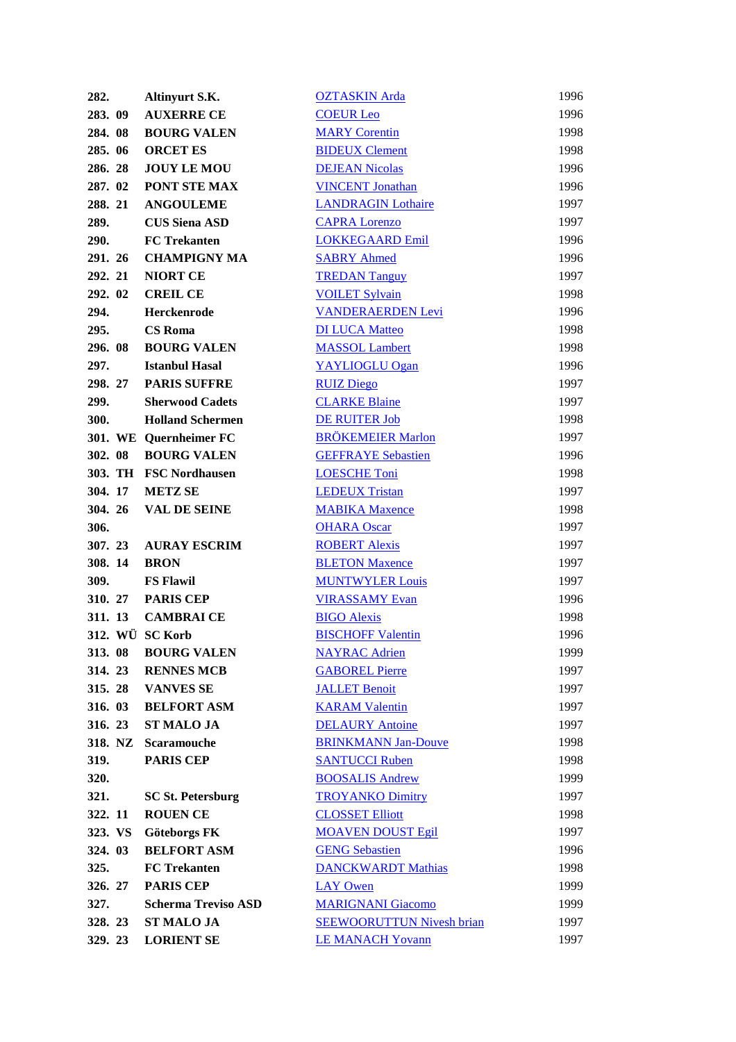| 282.            | Altinyurt S.K.             | <b>OZTASKIN</b> Arda             | 1996 |
|-----------------|----------------------------|----------------------------------|------|
| 283. 09         | <b>AUXERRE CE</b>          | <b>COEUR Leo</b>                 | 1996 |
| 284.08          | <b>BOURG VALEN</b>         | <b>MARY Corentin</b>             | 1998 |
| 285.06          | <b>ORCET ES</b>            | <b>BIDEUX Clement</b>            | 1998 |
| 286.28          | <b>JOUY LE MOU</b>         | <b>DEJEAN Nicolas</b>            | 1996 |
| 287. 02         | PONT STE MAX               | <b>VINCENT Jonathan</b>          | 1996 |
| 288. 21         | <b>ANGOULEME</b>           | <b>LANDRAGIN Lothaire</b>        | 1997 |
| 289.            | <b>CUS Siena ASD</b>       | <b>CAPRA Lorenzo</b>             | 1997 |
| 290.            | <b>FC</b> Trekanten        | <b>LOKKEGAARD Emil</b>           | 1996 |
| 291. 26         | <b>CHAMPIGNY MA</b>        | <b>SABRY Ahmed</b>               | 1996 |
| 292. 21         | <b>NIORT CE</b>            | <b>TREDAN Tanguy</b>             | 1997 |
| 292. 02         | <b>CREIL CE</b>            | <b>VOILET Sylvain</b>            | 1998 |
| 294.            | Herckenrode                | <b>VANDERAERDEN Levi</b>         | 1996 |
| 295.            | <b>CS Roma</b>             | <b>DI LUCA Matteo</b>            | 1998 |
| 296.08          | <b>BOURG VALEN</b>         | <b>MASSOL</b> Lambert            | 1998 |
| 297.            | <b>Istanbul Hasal</b>      | YAYLIOGLU Ogan                   | 1996 |
| 298. 27         | <b>PARIS SUFFRE</b>        | <b>RUIZ Diego</b>                | 1997 |
| 299.            | <b>Sherwood Cadets</b>     | <b>CLARKE Blaine</b>             | 1997 |
| 300.            | <b>Holland Schermen</b>    | DE RUITER Job                    | 1998 |
|                 | 301. WE Quernheimer FC     | <b>BRÖKEMEIER Marlon</b>         | 1997 |
| 302. 08         | <b>BOURG VALEN</b>         | <b>GEFFRAYE Sebastien</b>        | 1996 |
|                 | 303. TH FSC Nordhausen     | <b>LOESCHE Toni</b>              | 1998 |
| 304. 17         | <b>METZ SE</b>             | <b>LEDEUX Tristan</b>            | 1997 |
| 304. 26         | <b>VAL DE SEINE</b>        | <b>MABIKA Maxence</b>            | 1998 |
| 306.            |                            | <b>OHARA Oscar</b>               | 1997 |
| 307. 23         | <b>AURAY ESCRIM</b>        | <b>ROBERT Alexis</b>             | 1997 |
| 308. 14         | <b>BRON</b>                | <b>BLETON Maxence</b>            | 1997 |
| 309.            | <b>FS Flawil</b>           | <b>MUNTWYLER Louis</b>           | 1997 |
| 310. 27         | <b>PARIS CEP</b>           | <b>VIRASSAMY Evan</b>            | 1996 |
| 311. 13         | <b>CAMBRAICE</b>           | <b>BIGO Alexis</b>               | 1998 |
| 312. WÜ SC Korb |                            | <b>BISCHOFF Valentin</b>         | 1996 |
| 313.08          | <b>BOURG VALEN</b>         | <b>NAYRAC Adrien</b>             | 1999 |
| 314.23          | <b>RENNES MCB</b>          | <b>GABOREL Pierre</b>            | 1997 |
| 315.28          | <b>VANVES SE</b>           | <b>JALLET Benoit</b>             | 1997 |
| 316. 03         | <b>BELFORT ASM</b>         | <b>KARAM Valentin</b>            | 1997 |
| 316. 23         | <b>ST MALO JA</b>          | <b>DELAURY</b> Antoine           | 1997 |
| 318. NZ         | <b>Scaramouche</b>         | <b>BRINKMANN Jan-Douve</b>       | 1998 |
| 319.            | <b>PARIS CEP</b>           | <b>SANTUCCI Ruben</b>            | 1998 |
| 320.            |                            | <b>BOOSALIS Andrew</b>           | 1999 |
| 321.            | <b>SC St. Petersburg</b>   | <b>TROYANKO Dimitry</b>          | 1997 |
| 322. 11         | <b>ROUEN CE</b>            | <b>CLOSSET Elliott</b>           | 1998 |
| 323. VS         | Göteborgs FK               | <b>MOAVEN DOUST Egil</b>         | 1997 |
| 324. 03         | <b>BELFORT ASM</b>         | <b>GENG Sebastien</b>            | 1996 |
| 325.            | <b>FC</b> Trekanten        | <b>DANCKWARDT Mathias</b>        | 1998 |
| 326. 27         | <b>PARIS CEP</b>           | <b>LAY Owen</b>                  | 1999 |
| 327.            | <b>Scherma Treviso ASD</b> | <b>MARIGNANI Giacomo</b>         | 1999 |
| 328. 23         | <b>ST MALO JA</b>          | <b>SEEWOORUTTUN Nivesh brian</b> | 1997 |
| 329. 23         | <b>LORIENT SE</b>          | <b>LE MANACH Yovann</b>          | 1997 |
|                 |                            |                                  |      |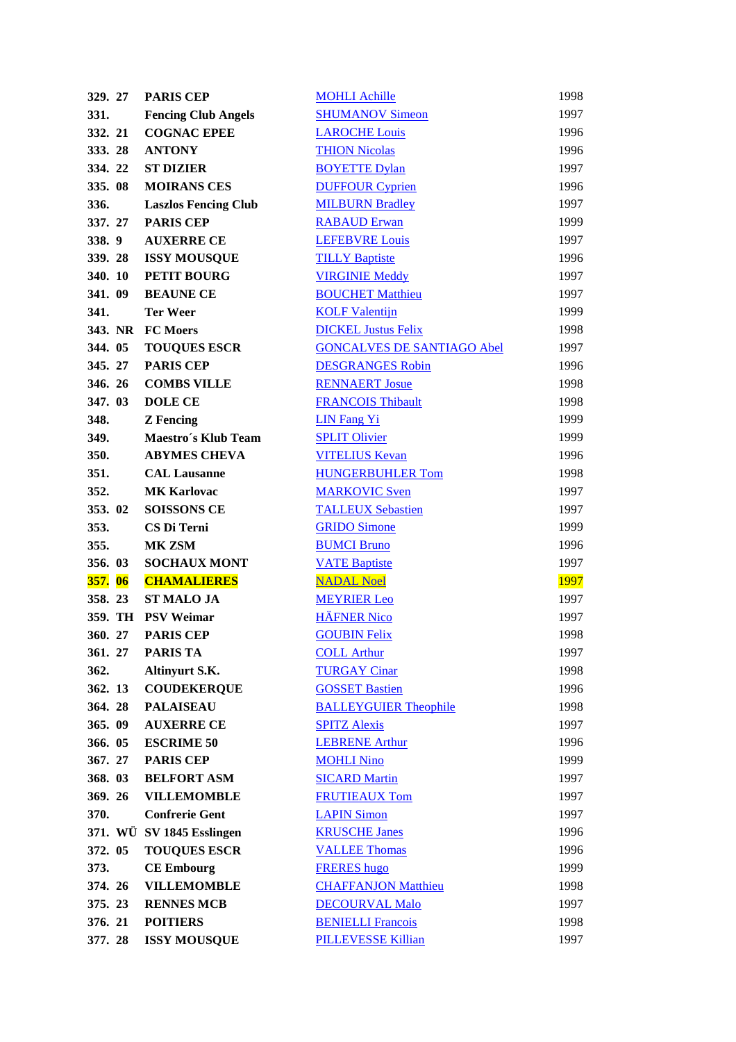| 329. 27        | <b>PARIS CEP</b>            | <b>MOHLI Achille</b>              | 1998 |
|----------------|-----------------------------|-----------------------------------|------|
| 331.           | <b>Fencing Club Angels</b>  | <b>SHUMANOV Simeon</b>            | 1997 |
| 332. 21        | <b>COGNAC EPEE</b>          | <b>LAROCHE Louis</b>              | 1996 |
| 333.28         | <b>ANTONY</b>               | <b>THION Nicolas</b>              | 1996 |
| 334. 22        | <b>ST DIZIER</b>            | <b>BOYETTE Dylan</b>              | 1997 |
| 335.08         | <b>MOIRANS CES</b>          | <b>DUFFOUR Cyprien</b>            | 1996 |
| 336.           | <b>Laszlos Fencing Club</b> | <b>MILBURN Bradley</b>            | 1997 |
| 337. 27        | <b>PARIS CEP</b>            | <b>RABAUD Erwan</b>               | 1999 |
| 338.9          | <b>AUXERRE CE</b>           | <b>LEFEBVRE Louis</b>             | 1997 |
| 339.28         | <b>ISSY MOUSQUE</b>         | <b>TILLY Baptiste</b>             | 1996 |
| 340. 10        | PETIT BOURG                 | <b>VIRGINIE Meddy</b>             | 1997 |
| 341.09         | <b>BEAUNE CE</b>            | <b>BOUCHET Matthieu</b>           | 1997 |
| 341.           | <b>Ter Weer</b>             | <b>KOLF Valentijn</b>             | 1999 |
|                | 343. NR FC Moers            | <b>DICKEL Justus Felix</b>        | 1998 |
| 344. 05        | <b>TOUQUES ESCR</b>         | <b>GONCALVES DE SANTIAGO Abel</b> | 1997 |
| 345. 27        | <b>PARIS CEP</b>            | <b>DESGRANGES Robin</b>           | 1996 |
| 346. 26        | <b>COMBS VILLE</b>          | <b>RENNAERT Josue</b>             | 1998 |
| 347.03         | <b>DOLE CE</b>              | <b>FRANCOIS Thibault</b>          | 1998 |
| 348.           | <b>Z</b> Fencing            | <b>LIN Fang Yi</b>                | 1999 |
| 349.           | Maestro's Klub Team         | <b>SPLIT Olivier</b>              | 1999 |
| 350.           | <b>ABYMES CHEVA</b>         | <b>VITELIUS Kevan</b>             | 1996 |
| 351.           | <b>CAL Lausanne</b>         | <b>HUNGERBUHLER Tom</b>           | 1998 |
| 352.           | <b>MK Karlovac</b>          | <b>MARKOVIC Sven</b>              | 1997 |
| 353.02         | <b>SOISSONS CE</b>          | <b>TALLEUX Sebastien</b>          | 1997 |
| 353.           | CS Di Terni                 | <b>GRIDO</b> Simone               | 1999 |
|                |                             |                                   |      |
| 355.           | MK ZSM                      | <b>BUMCI Bruno</b>                | 1996 |
| 356. 03        | <b>SOCHAUX MONT</b>         | <b>VATE Baptiste</b>              | 1997 |
| <b>357.</b> 06 | <b>CHAMALIERES</b>          | <b>NADAL Noel</b>                 | 1997 |
| 358.23         | <b>ST MALO JA</b>           | <b>MEYRIER Leo</b>                | 1997 |
|                | 359. TH PSV Weimar          | <b>HÄFNER Nico</b>                | 1997 |
| 360. 27        | <b>PARIS CEP</b>            | <b>GOUBIN Felix</b>               | 1998 |
| 361.27         | <b>PARIS TA</b>             | <b>COLL Arthur</b>                | 1997 |
| 362.           | Altinyurt S.K.              | <b>TURGAY Cinar</b>               | 1998 |
| 362. 13        | <b>COUDEKERQUE</b>          | <b>GOSSET Bastien</b>             | 1996 |
| 364.28         | <b>PALAISEAU</b>            | <b>BALLEYGUIER Theophile</b>      | 1998 |
| 365.09         | <b>AUXERRE CE</b>           | <b>SPITZ Alexis</b>               | 1997 |
| 366. 05        | <b>ESCRIME 50</b>           | <b>LEBRENE Arthur</b>             | 1996 |
| 367. 27        | <b>PARIS CEP</b>            | <b>MOHLI Nino</b>                 | 1999 |
| 368. 03        | <b>BELFORT ASM</b>          | <b>SICARD Martin</b>              | 1997 |
| 369. 26        | <b>VILLEMOMBLE</b>          | <b>FRUTIEAUX Tom</b>              | 1997 |
| 370.           | <b>Confrerie Gent</b>       | <b>LAPIN Simon</b>                | 1997 |
|                | 371. WÜ SV 1845 Esslingen   | <b>KRUSCHE Janes</b>              | 1996 |
| 372. 05        | <b>TOUQUES ESCR</b>         | <b>VALLEE Thomas</b>              | 1996 |
| 373.           | <b>CE Embourg</b>           | <b>FRERES</b> hugo                | 1999 |
| 374. 26        | <b>VILLEMOMBLE</b>          | <b>CHAFFANJON Matthieu</b>        | 1998 |
| 375. 23        | <b>RENNES MCB</b>           | <b>DECOURVAL Malo</b>             | 1997 |
| 376. 21        | <b>POITIERS</b>             | <b>BENIELLI Francois</b>          | 1998 |
| 377.28         | <b>ISSY MOUSQUE</b>         | <b>PILLEVESSE Killian</b>         | 1997 |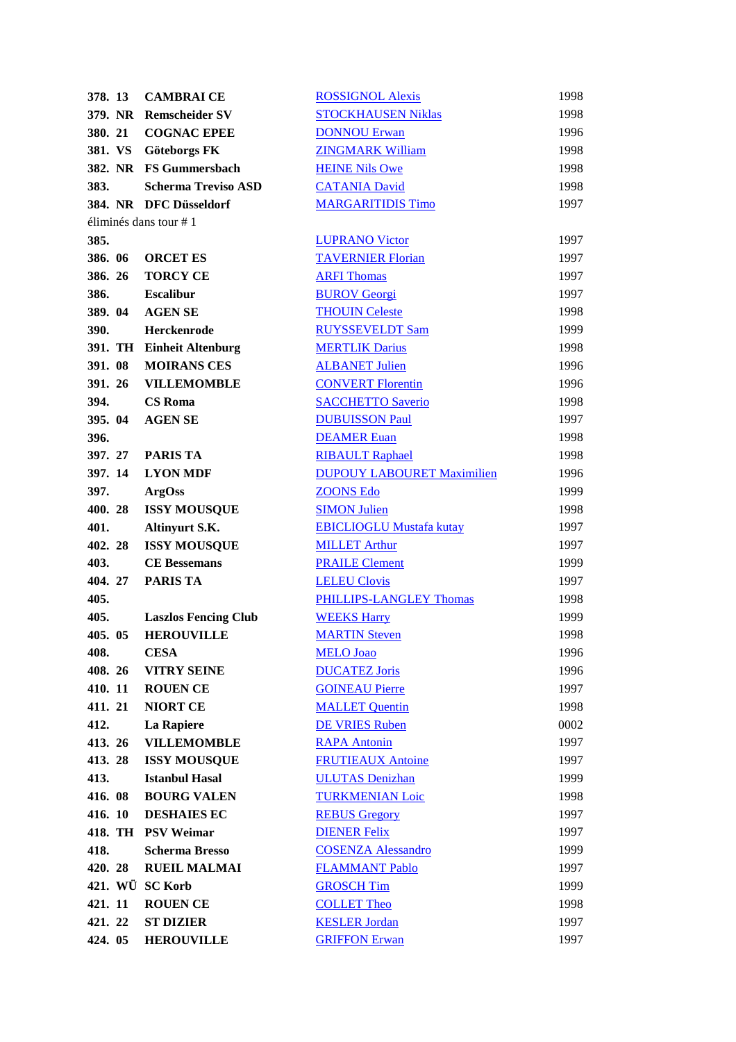| 378. 13         | <b>CAMBRAICE</b>            | <b>ROSSIGNOL Alexis</b>           | 1998 |
|-----------------|-----------------------------|-----------------------------------|------|
| 379. NR         | <b>Remscheider SV</b>       | <b>STOCKHAUSEN Niklas</b>         | 1998 |
| 380. 21         | <b>COGNAC EPEE</b>          | <b>DONNOU Erwan</b>               | 1996 |
| 381. VS         | Göteborgs FK                | <b>ZINGMARK William</b>           | 1998 |
|                 | 382. NR FS Gummersbach      | <b>HEINE Nils Owe</b>             | 1998 |
| 383.            | <b>Scherma Treviso ASD</b>  | <b>CATANIA David</b>              | 1998 |
|                 | 384. NR DFC Düsseldorf      | <b>MARGARITIDIS Timo</b>          | 1997 |
|                 | éliminés dans tour $# 1$    |                                   |      |
| 385.            |                             | <b>LUPRANO Victor</b>             | 1997 |
| 386. 06         | <b>ORCET ES</b>             | <b>TAVERNIER Florian</b>          | 1997 |
| 386. 26         | <b>TORCY CE</b>             | <b>ARFI Thomas</b>                | 1997 |
| 386.            | <b>Escalibur</b>            | <b>BUROV</b> Georgi               | 1997 |
| 389. 04         | <b>AGEN SE</b>              | <b>THOUIN Celeste</b>             | 1998 |
| 390.            | Herckenrode                 | <b>RUYSSEVELDT Sam</b>            | 1999 |
|                 | 391. TH Einheit Altenburg   | <b>MERTLIK Darius</b>             | 1998 |
| 391.08          | <b>MOIRANS CES</b>          | <b>ALBANET Julien</b>             | 1996 |
| 391.26          |                             |                                   |      |
|                 | <b>VILLEMOMBLE</b>          | <b>CONVERT Florentin</b>          | 1996 |
| 394.            | <b>CS</b> Roma              | <b>SACCHETTO Saverio</b>          | 1998 |
| 395. 04         | <b>AGEN SE</b>              | <b>DUBUISSON Paul</b>             | 1997 |
| 396.            |                             | <b>DEAMER Euan</b>                | 1998 |
| 397. 27         | <b>PARIS TA</b>             | <b>RIBAULT Raphael</b>            | 1998 |
| 397.14          | <b>LYON MDF</b>             | <b>DUPOUY LABOURET Maximilien</b> | 1996 |
| 397.            | <b>ArgOss</b>               | <b>ZOONS Edo</b>                  | 1999 |
| 400.28          | <b>ISSY MOUSQUE</b>         | <b>SIMON Julien</b>               | 1998 |
| 401.            | Altinyurt S.K.              | <b>EBICLIOGLU Mustafa kutay</b>   | 1997 |
| 402.28          | <b>ISSY MOUSQUE</b>         | <b>MILLET Arthur</b>              | 1997 |
| 403.            | <b>CE Bessemans</b>         | <b>PRAILE Clement</b>             | 1999 |
| 404.27          | <b>PARIS TA</b>             | <b>LELEU Clovis</b>               | 1997 |
| 405.            |                             | <b>PHILLIPS-LANGLEY Thomas</b>    | 1998 |
| 405.            | <b>Laszlos Fencing Club</b> | <b>WEEKS Harry</b>                | 1999 |
| 405. 05         | <b>HEROUVILLE</b>           | <b>MARTIN Steven</b>              | 1998 |
| 408.            | <b>CESA</b>                 | <b>MELO</b> Joao                  | 1996 |
| 408.26          | <b>VITRY SEINE</b>          | <b>DUCATEZ Joris</b>              | 1996 |
| 410. 11         | <b>ROUEN CE</b>             | <b>GOINEAU Pierre</b>             | 1997 |
| 411.21          | <b>NIORT CE</b>             | <b>MALLET Quentin</b>             | 1998 |
| 412.            | La Rapiere                  | <b>DE VRIES Ruben</b>             | 0002 |
| 413. 26         | <b>VILLEMOMBLE</b>          | <b>RAPA Antonin</b>               | 1997 |
| 413.28          | <b>ISSY MOUSQUE</b>         | <b>FRUTIEAUX Antoine</b>          | 1997 |
| 413.            | <b>Istanbul Hasal</b>       | <b>ULUTAS Denizhan</b>            | 1999 |
| 416.08          | <b>BOURG VALEN</b>          | <b>TURKMENIAN Loic</b>            | 1998 |
| 416. 10         | <b>DESHAIES EC</b>          | <b>REBUS Gregory</b>              | 1997 |
|                 | 418. TH PSV Weimar          | <b>DIENER Felix</b>               | 1997 |
| 418.            | <b>Scherma Bresso</b>       | <b>COSENZA Alessandro</b>         | 1999 |
| 420.28          | <b>RUEIL MALMAI</b>         | <b>FLAMMANT Pablo</b>             | 1997 |
| 421. WÜ SC Korb |                             | <b>GROSCH Tim</b>                 | 1999 |
| 421.11          | <b>ROUEN CE</b>             | <b>COLLET Theo</b>                | 1998 |
| 421.22          | <b>ST DIZIER</b>            | <b>KESLER Jordan</b>              | 1997 |
| 424. 05         | <b>HEROUVILLE</b>           | <b>GRIFFON Erwan</b>              | 1997 |
|                 |                             |                                   |      |